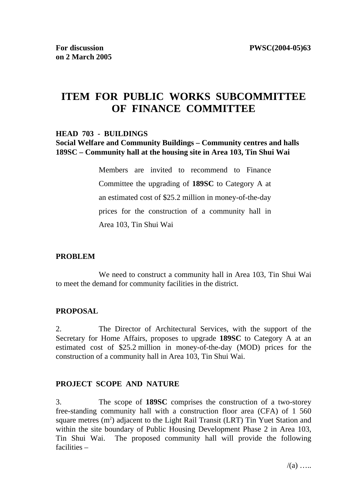# **ITEM FOR PUBLIC WORKS SUBCOMMITTEE OF FINANCE COMMITTEE**

#### **HEAD 703 - BUILDINGS**

#### **Social Welfare and Community Buildings – Community centres and halls 189SC – Community hall at the housing site in Area 103, Tin Shui Wai**

Members are invited to recommend to Finance Committee the upgrading of **189SC** to Category A at an estimated cost of \$25.2 million in money-of-the-day prices for the construction of a community hall in Area 103, Tin Shui Wai

#### **PROBLEM**

 We need to construct a community hall in Area 103, Tin Shui Wai to meet the demand for community facilities in the district.

#### **PROPOSAL**

2. The Director of Architectural Services, with the support of the Secretary for Home Affairs, proposes to upgrade **189SC** to Category A at an estimated cost of \$25.2 million in money-of-the-day (MOD) prices for the construction of a community hall in Area 103, Tin Shui Wai.

#### **PROJECT SCOPE AND NATURE**

3. The scope of **189SC** comprises the construction of a two-storey free-standing community hall with a construction floor area (CFA) of 1 560 square metres  $(m^2)$  adjacent to the Light Rail Transit (LRT) Tin Yuet Station and within the site boundary of Public Housing Development Phase 2 in Area 103, Tin Shui Wai. The proposed community hall will provide the following facilities –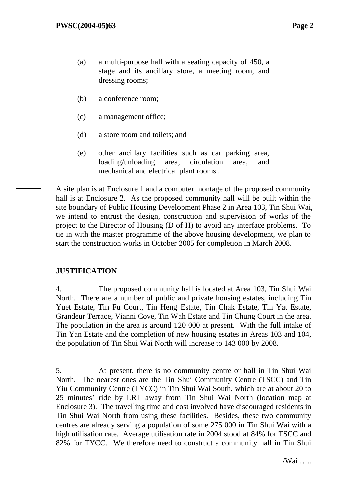- (a) a multi-purpose hall with a seating capacity of 450, a stage and its ancillary store, a meeting room, and dressing rooms;
- (b) a conference room;
- (c) a management office;
- (d) a store room and toilets; and
- (e) other ancillary facilities such as car parking area, loading/unloading area, circulation area, and mechanical and electrical plant rooms .

 A site plan is at Enclosure 1 and a computer montage of the proposed community hall is at Enclosure 2. As the proposed community hall will be built within the site boundary of Public Housing Development Phase 2 in Area 103, Tin Shui Wai, we intend to entrust the design, construction and supervision of works of the project to the Director of Housing (D of H) to avoid any interface problems. To tie in with the master programme of the above housing development, we plan to start the construction works in October 2005 for completion in March 2008.

# **JUSTIFICATION**

4. The proposed community hall is located at Area 103, Tin Shui Wai North. There are a number of public and private housing estates, including Tin Yuet Estate, Tin Fu Court, Tin Heng Estate, Tin Chak Estate, Tin Yat Estate, Grandeur Terrace, Vianni Cove, Tin Wah Estate and Tin Chung Court in the area. The population in the area is around 120 000 at present. With the full intake of Tin Yan Estate and the completion of new housing estates in Areas 103 and 104, the population of Tin Shui Wai North will increase to 143 000 by 2008.

5. At present, there is no community centre or hall in Tin Shui Wai North. The nearest ones are the Tin Shui Community Centre (TSCC) and Tin Yiu Community Centre (TYCC) in Tin Shui Wai South, which are at about 20 to 25 minutes' ride by LRT away from Tin Shui Wai North (location map at Enclosure 3). The travelling time and cost involved have discouraged residents in Tin Shui Wai North from using these facilities. Besides, these two community centres are already serving a population of some 275 000 in Tin Shui Wai with a high utilisation rate. Average utilisation rate in 2004 stood at 84% for TSCC and 82% for TYCC. We therefore need to construct a community hall in Tin Shui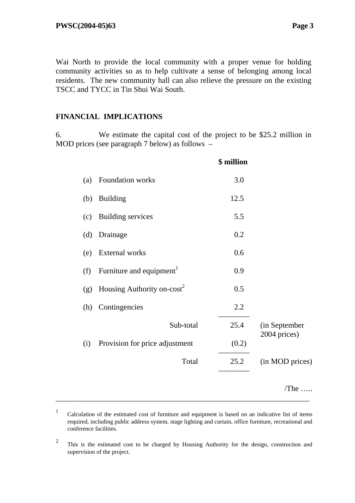Wai North to provide the local community with a proper venue for holding community activities so as to help cultivate a sense of belonging among local residents. The new community hall can also relieve the pressure on the existing TSCC and TYCC in Tin Shui Wai South.

# **FINANCIAL IMPLICATIONS**

6. We estimate the capital cost of the project to be \$25.2 million in MOD prices (see paragraph 7 below) as follows –

|     |                                      | \$ million |                 |
|-----|--------------------------------------|------------|-----------------|
| (a) | Foundation works                     | 3.0        |                 |
| (b) | <b>Building</b>                      | 12.5       |                 |
| (c) | <b>Building services</b>             | 5.5        |                 |
| (d) | Drainage                             | 0.2        |                 |
| (e) | <b>External works</b>                | 0.6        |                 |
| (f) | Furniture and equipment <sup>1</sup> | 0.9        |                 |
| (g) | Housing Authority on- $cost^2$       | 0.5        |                 |
| (h) | Contingencies                        | 2.2        |                 |
|     | Sub-total                            | 25.4       | (in September   |
| (i) | Provision for price adjustment       | (0.2)      | 2004 prices)    |
|     | Total                                | 25.2       | (in MOD prices) |
|     |                                      |            | $/$ The         |

<sup>1</sup> Calculation of the estimated cost of furniture and equipment is based on an indicative list of items required, including public address system, stage lighting and curtain, office furniture, recreational and conference facilities.

\_\_\_\_\_\_\_\_\_\_\_\_\_\_\_\_\_\_\_\_\_\_\_\_\_\_\_\_\_\_\_\_\_\_\_\_\_\_\_\_\_\_\_\_\_\_\_\_\_\_\_\_\_\_\_\_\_\_\_\_\_\_\_\_\_

<sup>&</sup>lt;sup>2</sup> This is the estimated cost to be charged by Housing Authority for the design, construction and supervision of the project.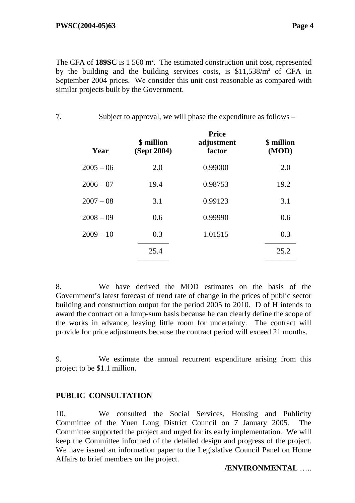The CFA of  $189SC$  is  $1560 \text{ m}^2$ . The estimated construction unit cost, represented by the building and the building services costs, is \$11,538/m<sup>2</sup> of CFA in September 2004 prices. We consider this unit cost reasonable as compared with similar projects built by the Government.

7. Subject to approval, we will phase the expenditure as follows –

| Year        | \$ million<br>(Sept 2004) | <b>Price</b><br>adjustment<br>factor | \$ million<br>(MOD) |
|-------------|---------------------------|--------------------------------------|---------------------|
| $2005 - 06$ | 2.0                       | 0.99000                              | 2.0                 |
| $2006 - 07$ | 19.4                      | 0.98753                              | 19.2                |
| $2007 - 08$ | 3.1                       | 0.99123                              | 3.1                 |
| $2008 - 09$ | 0.6                       | 0.99990                              | 0.6                 |
| $2009 - 10$ | 0.3                       | 1.01515                              | 0.3                 |
|             | 25.4                      |                                      | 25.2                |
|             |                           |                                      |                     |

8. We have derived the MOD estimates on the basis of the Government's latest forecast of trend rate of change in the prices of public sector building and construction output for the period 2005 to 2010. D of H intends to award the contract on a lump-sum basis because he can clearly define the scope of the works in advance, leaving little room for uncertainty. The contract will provide for price adjustments because the contract period will exceed 21 months.

9. We estimate the annual recurrent expenditure arising from this project to be \$1.1 million.

# **PUBLIC CONSULTATION**

10. We consulted the Social Services, Housing and Publicity Committee of the Yuen Long District Council on 7 January 2005. The Committee supported the project and urged for its early implementation. We will keep the Committee informed of the detailed design and progress of the project. We have issued an information paper to the Legislative Council Panel on Home Affairs to brief members on the project.

# **/ENVIRONMENTAL** …..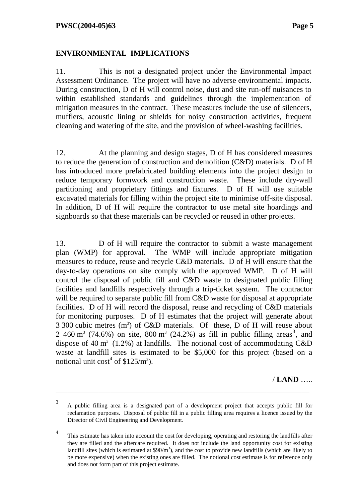# **ENVIRONMENTAL IMPLICATIONS**

11. This is not a designated project under the Environmental Impact Assessment Ordinance. The project will have no adverse environmental impacts. During construction, D of H will control noise, dust and site run-off nuisances to within established standards and guidelines through the implementation of mitigation measures in the contract. These measures include the use of silencers, mufflers, acoustic lining or shields for noisy construction activities, frequent cleaning and watering of the site, and the provision of wheel-washing facilities.

12. At the planning and design stages, D of H has considered measures to reduce the generation of construction and demolition (C&D) materials. D of H has introduced more prefabricated building elements into the project design to reduce temporary formwork and construction waste. These include dry-wall partitioning and proprietary fittings and fixtures. D of H will use suitable excavated materials for filling within the project site to minimise off-site disposal. In addition, D of H will require the contractor to use metal site hoardings and signboards so that these materials can be recycled or reused in other projects.

13. D of H will require the contractor to submit a waste management plan (WMP) for approval. The WMP will include appropriate mitigation measures to reduce, reuse and recycle C&D materials. D of H will ensure that the day-to-day operations on site comply with the approved WMP. D of H will control the disposal of public fill and C&D waste to designated public filling facilities and landfills respectively through a trip-ticket system. The contractor will be required to separate public fill from C&D waste for disposal at appropriate facilities. D of H will record the disposal, reuse and recycling of C&D materials for monitoring purposes. D of H estimates that the project will generate about 3 300 cubic metres  $(m^3)$  of C&D materials. Of these, D of H will reuse about 2 460 m<sup>3</sup> (74.6%) on site, 800 m<sup>3</sup> (24.2%) as fill in public filling areas<sup>3</sup>, and dispose of 40 m<sup>3</sup> (1.2%) at landfills. The notional cost of accommodating  $C&D$ waste at landfill sites is estimated to be \$5,000 for this project (based on a notional unit  $\cos t^4$  of \$125/m<sup>3</sup>).

/ **LAND** …..

\_\_\_\_\_\_\_\_\_\_\_\_\_\_\_\_\_\_\_\_\_\_\_\_\_\_\_\_\_\_\_\_\_\_\_\_\_\_\_\_\_\_\_\_\_\_\_\_\_\_\_\_\_\_\_\_\_\_\_\_\_\_\_\_\_

<sup>3</sup> A public filling area is a designated part of a development project that accepts public fill for reclamation purposes. Disposal of public fill in a public filling area requires a licence issued by the Director of Civil Engineering and Development.

<sup>&</sup>lt;sup>4</sup> This estimate has taken into account the cost for developing, operating and restoring the landfills after they are filled and the aftercare required. It does not include the land opportunity cost for existing landfill sites (which is estimated at  $\frac{20}{m^3}$ ), and the cost to provide new landfills (which are likely to be more expensive) when the existing ones are filled. The notional cost estimate is for reference only and does not form part of this project estimate.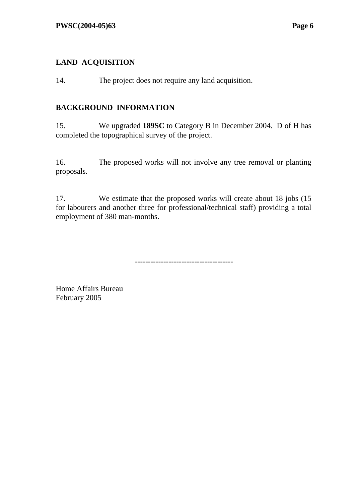# **LAND ACQUISITION**

14. The project does not require any land acquisition.

### **BACKGROUND INFORMATION**

15. We upgraded **189SC** to Category B in December 2004. D of H has completed the topographical survey of the project.

16. The proposed works will not involve any tree removal or planting proposals.

17. We estimate that the proposed works will create about 18 jobs (15 for labourers and another three for professional/technical staff) providing a total employment of 380 man-months.

--------------------------------------

Home Affairs Bureau February 2005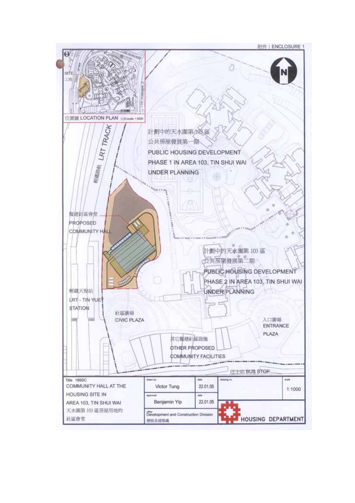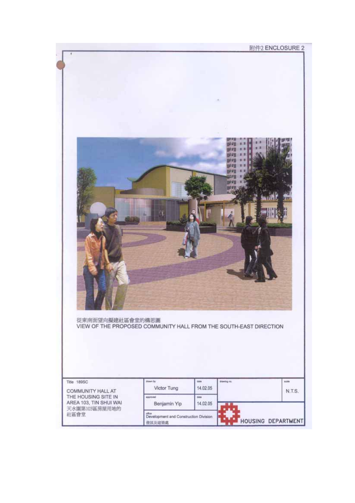